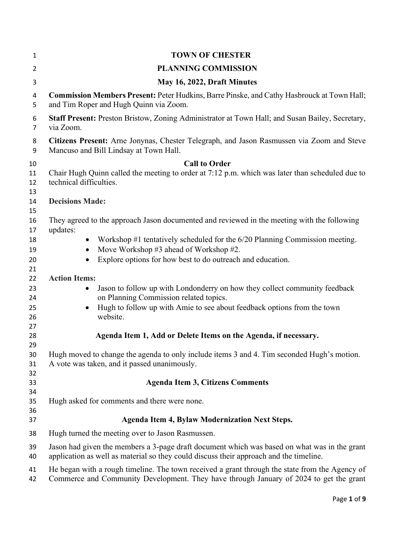| $\mathbf{1}$                | <b>TOWN OF CHESTER</b>                                                                                                                                                                           |
|-----------------------------|--------------------------------------------------------------------------------------------------------------------------------------------------------------------------------------------------|
| $\overline{2}$              | <b>PLANNING COMMISSION</b>                                                                                                                                                                       |
| 3                           | May 16, 2022, Draft Minutes                                                                                                                                                                      |
| 4<br>5                      | Commission Members Present: Peter Hudkins, Barre Pinske, and Cathy Hasbrouck at Town Hall;<br>and Tim Roper and Hugh Quinn via Zoom.                                                             |
| 6<br>7                      | Staff Present: Preston Bristow, Zoning Administrator at Town Hall; and Susan Bailey, Secretary,<br>via Zoom.                                                                                     |
| 8<br>9                      | Citizens Present: Arne Jonynas, Chester Telegraph, and Jason Rasmussen via Zoom and Steve<br>Mancuso and Bill Lindsay at Town Hall.                                                              |
| 10                          | <b>Call to Order</b>                                                                                                                                                                             |
| 11<br>12<br>13              | Chair Hugh Quinn called the meeting to order at 7:12 p.m. which was later than scheduled due to<br>technical difficulties.                                                                       |
| 14<br>15                    | <b>Decisions Made:</b>                                                                                                                                                                           |
| 16<br>17                    | They agreed to the approach Jason documented and reviewed in the meeting with the following<br>updates:                                                                                          |
| 18<br>19<br>20<br>21        | Workshop #1 tentatively scheduled for the 6/20 Planning Commission meeting.<br>Move Workshop #3 ahead of Workshop #2.<br>Explore options for how best to do outreach and education.<br>$\bullet$ |
| 22                          | <b>Action Items:</b>                                                                                                                                                                             |
| 23<br>24                    | Jason to follow up with Londonderry on how they collect community feedback<br>on Planning Commission related topics.                                                                             |
| 25<br>26                    | Hugh to follow up with Amie to see about feedback options from the town<br>website.                                                                                                              |
| 27<br>28<br>29              | Agenda Item 1, Add or Delete Items on the Agenda, if necessary.                                                                                                                                  |
| 30 <sub>o</sub><br>31<br>32 | Hugh moved to change the agenda to only include items 3 and 4. Tim seconded Hugh's motion.<br>A vote was taken, and it passed unanimously.                                                       |
| 33                          | <b>Agenda Item 3, Citizens Comments</b>                                                                                                                                                          |
| 34<br>35<br>36              | Hugh asked for comments and there were none.                                                                                                                                                     |
| 37                          | <b>Agenda Item 4, Bylaw Modernization Next Steps.</b>                                                                                                                                            |
| 38                          | Hugh turned the meeting over to Jason Rasmussen.                                                                                                                                                 |
| 39<br>40                    | Jason had given the members a 3-page draft document which was based on what was in the grant<br>application as well as material so they could discuss their approach and the timeline.           |
| 41<br>42                    | He began with a rough timeline. The town received a grant through the state from the Agency of<br>Commerce and Community Development. They have through January of 2024 to get the grant         |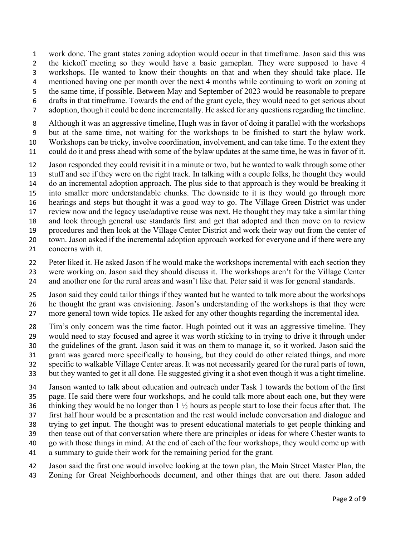work done. The grant states zoning adoption would occur in that timeframe. Jason said this was 2 the kickoff meeting so they would have a basic gameplan. They were supposed to have 4 workshops. He wanted to know their thoughts on that and when they should take place. He mentioned having one per month over the next 4 months while continuing to work on zoning at the same time, if possible. Between May and September of 2023 would be reasonable to prepare drafts in that timeframe. Towards the end of the grant cycle, they would need to get serious about

adoption, though it could be done incrementally. He asked for any questions regarding the timeline.

Although it was an aggressive timeline, Hugh was in favor of doing it parallel with the workshops but at the same time, not waiting for the workshops to be finished to start the bylaw work.

Workshops can be tricky, involve coordination, involvement, and can take time. To the extent they

could do it and press ahead with some of the bylaw updates at the same time, he was in favor of it.

Jason responded they could revisit it in a minute or two, but he wanted to walk through some other

stuff and see if they were on the right track. In talking with a couple folks, he thought they would do an incremental adoption approach. The plus side to that approach is they would be breaking it

into smaller more understandable chunks. The downside to it is they would go through more

hearings and steps but thought it was a good way to go. The Village Green District was under

review now and the legacy use/adaptive reuse was next. He thought they may take a similar thing

and look through general use standards first and get that adopted and then move on to review

procedures and then look at the Village Center District and work their way out from the center of

town. Jason asked if the incremental adoption approach worked for everyone and if there were any

concerns with it.

Peter liked it. He asked Jason if he would make the workshops incremental with each section they

were working on. Jason said they should discuss it. The workshops aren't for the Village Center

and another one for the rural areas and wasn't like that. Peter said it was for general standards.

Jason said they could tailor things if they wanted but he wanted to talk more about the workshops

he thought the grant was envisioning. Jason's understanding of the workshops is that they were more general town wide topics. He asked for any other thoughts regarding the incremental idea.

Tim's only concern was the time factor. Hugh pointed out it was an aggressive timeline. They would need to stay focused and agree it was worth sticking to in trying to drive it through under the guidelines of the grant. Jason said it was on them to manage it, so it worked. Jason said the

grant was geared more specifically to housing, but they could do other related things, and more

specific to walkable Village Center areas. It was not necessarily geared for the rural parts of town,

but they wanted to get it all done. He suggested giving it a shot even though it was a tight timeline.

Janson wanted to talk about education and outreach under Task 1 towards the bottom of the first

page. He said there were four workshops, and he could talk more about each one, but they were thinking they would be no longer than 1 ½ hours as people start to lose their focus after that. The

first half hour would be a presentation and the rest would include conversation and dialogue and

trying to get input. The thought was to present educational materials to get people thinking and

then tease out of that conversation where there are principles or ideas for where Chester wants to

go with those things in mind. At the end of each of the four workshops, they would come up with

a summary to guide their work for the remaining period for the grant.

Jason said the first one would involve looking at the town plan, the Main Street Master Plan, the

Zoning for Great Neighborhoods document, and other things that are out there. Jason added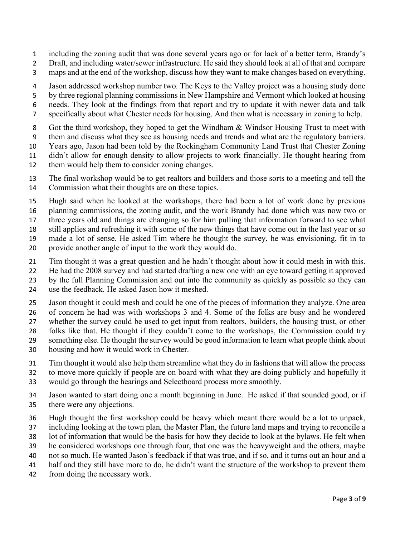- including the zoning audit that was done several years ago or for lack of a better term, Brandy's
- Draft, and including water/sewer infrastructure. He said they should look at all of that and compare
- maps and at the end of the workshop, discuss how they want to make changes based on everything.
- Jason addressed workshop number two. The Keys to the Valley project was a housing study done
- by three regional planning commissions in New Hampshire and Vermont which looked at housing
- needs. They look at the findings from that report and try to update it with newer data and talk
- specifically about what Chester needs for housing. And then what is necessary in zoning to help.
- Got the third workshop, they hoped to get the Windham & Windsor Housing Trust to meet with
- them and discuss what they see as housing needs and trends and what are the regulatory barriers.
- Years ago, Jason had been told by the Rockingham Community Land Trust that Chester Zoning
- didn't allow for enough density to allow projects to work financially. He thought hearing from
- them would help them to consider zoning changes.
- The final workshop would be to get realtors and builders and those sorts to a meeting and tell the Commission what their thoughts are on these topics.
- Hugh said when he looked at the workshops, there had been a lot of work done by previous
- planning commissions, the zoning audit, and the work Brandy had done which was now two or
- three years old and things are changing so for him pulling that information forward to see what
- still applies and refreshing it with some of the new things that have come out in the last year or so
- made a lot of sense. He asked Tim where he thought the survey, he was envisioning, fit in to
- provide another angle of input to the work they would do.
- Tim thought it was a great question and he hadn't thought about how it could mesh in with this.
- He had the 2008 survey and had started drafting a new one with an eye toward getting it approved
- by the full Planning Commission and out into the community as quickly as possible so they can
- use the feedback. He asked Jason how it meshed.
- Jason thought it could mesh and could be one of the pieces of information they analyze. One area
- of concern he had was with workshops 3 and 4. Some of the folks are busy and he wondered
- whether the survey could be used to get input from realtors, builders, the housing trust, or other
- folks like that. He thought if they couldn't come to the workshops, the Commission could try
- something else. He thought the survey would be good information to learn what people think about
- housing and how it would work in Chester.
- Tim thought it would also help them streamline what they do in fashions that will allow the process
- to move more quickly if people are on board with what they are doing publicly and hopefully it
- would go through the hearings and Selectboard process more smoothly.
- Jason wanted to start doing one a month beginning in June. He asked if that sounded good, or if there were any objections.
- Hugh thought the first workshop could be heavy which meant there would be a lot to unpack,
- including looking at the town plan, the Master Plan, the future land maps and trying to reconcile a
- lot of information that would be the basis for how they decide to look at the bylaws. He felt when
- he considered workshops one through four, that one was the heavyweight and the others, maybe
- not so much. He wanted Jason's feedback if that was true, and if so, and it turns out an hour and a
- half and they still have more to do, he didn't want the structure of the workshop to prevent them
- from doing the necessary work.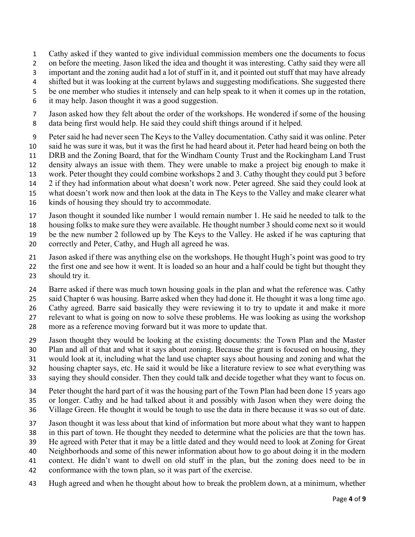- Cathy asked if they wanted to give individual commission members one the documents to focus
- on before the meeting. Jason liked the idea and thought it was interesting. Cathy said they were all
- important and the zoning audit had a lot of stuff in it, and it pointed out stuff that may have already
- 4 shifted but it was looking at the current bylaws and suggesting modifications. She suggested there
- be one member who studies it intensely and can help speak to it when it comes up in the rotation,
- it may help. Jason thought it was a good suggestion.
- Jason asked how they felt about the order of the workshops. He wondered if some of the housing data being first would help. He said they could shift things around if it helped.
- Peter said he had never seen The Keys to the Valley documentation. Cathy said it was online. Peter
- said he was sure it was, but it was the first he had heard about it. Peter had heard being on both the
- DRB and the Zoning Board, that for the Windham County Trust and the Rockingham Land Trust
- density always an issue with them. They were unable to make a project big enough to make it
- work. Peter thought they could combine workshops 2 and 3. Cathy thought they could put 3 before
- 2 if they had information about what doesn't work now. Peter agreed. She said they could look at
- what doesn't work now and then look at the data in The Keys to the Valley and make clearer what
- kinds of housing they should try to accommodate.
- Jason thought it sounded like number 1 would remain number 1. He said he needed to talk to the
- housing folks to make sure they were available. He thought number 3 should come next so it would
- be the new number 2 followed up by The Keys to the Valley. He asked if he was capturing that
- correctly and Peter, Cathy, and Hugh all agreed he was.
- Jason asked if there was anything else on the workshops. He thought Hugh's point was good to try
- the first one and see how it went. It is loaded so an hour and a half could be tight but thought they should try it.
- Barre asked if there was much town housing goals in the plan and what the reference was. Cathy
- said Chapter 6 was housing. Barre asked when they had done it. He thought it was a long time ago.
- Cathy agreed. Barre said basically they were reviewing it to try to update it and make it more
- relevant to what is going on now to solve these problems. He was looking as using the workshop
- more as a reference moving forward but it was more to update that.
- Jason thought they would be looking at the existing documents: the Town Plan and the Master
- Plan and all of that and what it says about zoning. Because the grant is focused on housing, they
- would look at it, including what the land use chapter says about housing and zoning and what the
- housing chapter says, etc. He said it would be like a literature review to see what everything was
- saying they should consider. Then they could talk and decide together what they want to focus on.
- Peter thought the hard part of it was the housing part of the Town Plan had been done 15 years ago
- or longer. Cathy and he had talked about it and possibly with Jason when they were doing the
- Village Green. He thought it would be tough to use the data in there because it was so out of date.
- Jason thought it was less about that kind of information but more about what they want to happen
- in this part of town. He thought they needed to determine what the policies are that the town has.
- He agreed with Peter that it may be a little dated and they would need to look at Zoning for Great
- Neighborhoods and some of this newer information about how to go about doing it in the modern
- context. He didn't want to dwell on old stuff in the plan, but the zoning does need to be in
- conformance with the town plan, so it was part of the exercise.
- Hugh agreed and when he thought about how to break the problem down, at a minimum, whether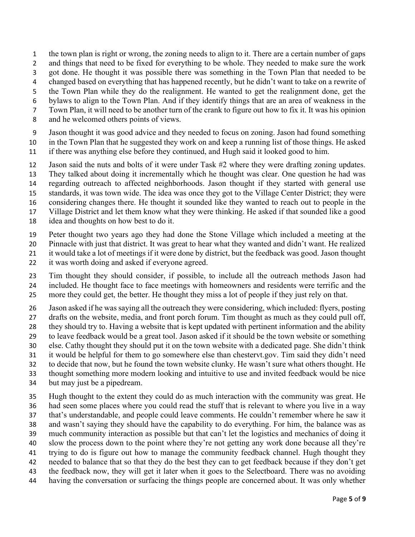the town plan is right or wrong, the zoning needs to align to it. There are a certain number of gaps

- and things that need to be fixed for everything to be whole. They needed to make sure the work
- got done. He thought it was possible there was something in the Town Plan that needed to be
- changed based on everything that has happened recently, but he didn't want to take on a rewrite of
- the Town Plan while they do the realignment. He wanted to get the realignment done, get the
- bylaws to align to the Town Plan. And if they identify things that are an area of weakness in the Town Plan, it will need to be another turn of the crank to figure out how to fix it. It was his opinion
- and he welcomed others points of views.
- Jason thought it was good advice and they needed to focus on zoning. Jason had found something
- in the Town Plan that he suggested they work on and keep a running list of those things. He asked
- if there was anything else before they continued, and Hugh said it looked good to him.
- Jason said the nuts and bolts of it were under Task #2 where they were drafting zoning updates.
- They talked about doing it incrementally which he thought was clear. One question he had was
- regarding outreach to affected neighborhoods. Jason thought if they started with general use
- standards, it was town wide. The idea was once they got to the Village Center District; they were
- considering changes there. He thought it sounded like they wanted to reach out to people in the
- Village District and let them know what they were thinking. He asked if that sounded like a good
- idea and thoughts on how best to do it.
- Peter thought two years ago they had done the Stone Village which included a meeting at the
- Pinnacle with just that district. It was great to hear what they wanted and didn't want. He realized
- it would take a lot of meetings if it were done by district, but the feedback was good. Jason thought
- it was worth doing and asked if everyone agreed.
- Tim thought they should consider, if possible, to include all the outreach methods Jason had included. He thought face to face meetings with homeowners and residents were terrific and the more they could get, the better. He thought they miss a lot of people if they just rely on that.
- Jason asked if he was saying all the outreach they were considering, which included: flyers, posting drafts on the website, media, and front porch forum. Tim thought as much as they could pull off, they should try to. Having a website that is kept updated with pertinent information and the ability to leave feedback would be a great tool. Jason asked if it should be the town website or something else. Cathy thought they should put it on the town website with a dedicated page. She didn't think it would be helpful for them to go somewhere else than chestervt.gov. Tim said they didn't need to decide that now, but he found the town website clunky. He wasn't sure what others thought. He thought something more modern looking and intuitive to use and invited feedback would be nice
- but may just be a pipedream.
- Hugh thought to the extent they could do as much interaction with the community was great. He had seen some places where you could read the stuff that is relevant to where you live in a way that's understandable, and people could leave comments. He couldn't remember where he saw it and wasn't saying they should have the capability to do everything. For him, the balance was as much community interaction as possible but that can't let the logistics and mechanics of doing it slow the process down to the point where they're not getting any work done because all they're trying to do is figure out how to manage the community feedback channel. Hugh thought they needed to balance that so that they do the best they can to get feedback because if they don't get the feedback now, they will get it later when it goes to the Selectboard. There was no avoiding
- having the conversation or surfacing the things people are concerned about. It was only whether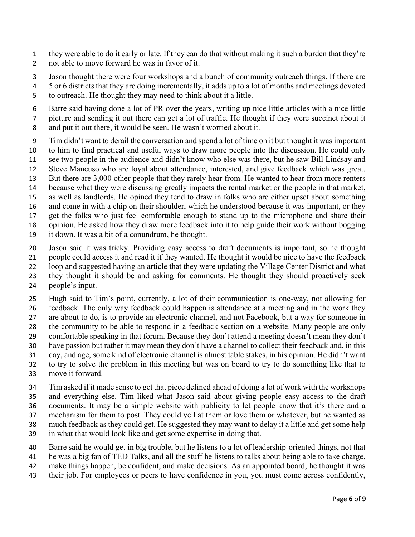- they were able to do it early or late. If they can do that without making it such a burden that they're not able to move forward he was in favor of it.
- Jason thought there were four workshops and a bunch of community outreach things. If there are
- 5 or 6 districts that they are doing incrementally, it adds up to a lot of months and meetings devoted to outreach. He thought they may need to think about it a little.
- Barre said having done a lot of PR over the years, writing up nice little articles with a nice little
- picture and sending it out there can get a lot of traffic. He thought if they were succinct about it
- and put it out there, it would be seen. He wasn't worried about it.
- Tim didn't want to derail the conversation and spend a lot of time on it but thought it was important
- to him to find practical and useful ways to draw more people into the discussion. He could only see two people in the audience and didn't know who else was there, but he saw Bill Lindsay and
- Steve Mancuso who are loyal about attendance, interested, and give feedback which was great.
- But there are 3,000 other people that they rarely hear from. He wanted to hear from more renters
- because what they were discussing greatly impacts the rental market or the people in that market,
- as well as landlords. He opined they tend to draw in folks who are either upset about something
- 16 and come in with a chip on their shoulder, which he understood because it was important, or they
- get the folks who just feel comfortable enough to stand up to the microphone and share their
- opinion. He asked how they draw more feedback into it to help guide their work without bogging
- it down. It was a bit of a conundrum, he thought.
- Jason said it was tricky. Providing easy access to draft documents is important, so he thought
- people could access it and read it if they wanted. He thought it would be nice to have the feedback
- loop and suggested having an article that they were updating the Village Center District and what
- they thought it should be and asking for comments. He thought they should proactively seek
- people's input.
- Hugh said to Tim's point, currently, a lot of their communication is one-way, not allowing for feedback. The only way feedback could happen is attendance at a meeting and in the work they
- are about to do, is to provide an electronic channel, and not Facebook, but a way for someone in
- the community to be able to respond in a feedback section on a website. Many people are only comfortable speaking in that forum. Because they don't attend a meeting doesn't mean they don't
- have passion but rather it may mean they don't have a channel to collect their feedback and, in this
- day, and age, some kind of electronic channel is almost table stakes, in his opinion. He didn't want
- to try to solve the problem in this meeting but was on board to try to do something like that to
- move it forward.
- Tim asked if it made sense to get that piece defined ahead of doing a lot of work with the workshops and everything else. Tim liked what Jason said about giving people easy access to the draft
- documents. It may be a simple website with publicity to let people know that it's there and a
- mechanism for them to post. They could yell at them or love them or whatever, but he wanted as
- much feedback as they could get. He suggested they may want to delay it a little and get some help
- in what that would look like and get some expertise in doing that.
- Barre said he would get in big trouble, but he listens to a lot of leadership-oriented things, not that
- he was a big fan of TED Talks, and all the stuff he listens to talks about being able to take charge,
- make things happen, be confident, and make decisions. As an appointed board, he thought it was
- their job. For employees or peers to have confidence in you, you must come across confidently,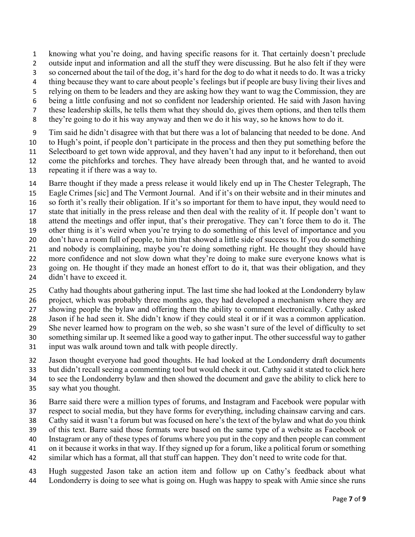knowing what you're doing, and having specific reasons for it. That certainly doesn't preclude

- outside input and information and all the stuff they were discussing. But he also felt if they were
- so concerned about the tail of the dog, it's hard for the dog to do what it needs to do. It was a tricky
- 4 thing because they want to care about people's feelings but if people are busy living their lives and
- relying on them to be leaders and they are asking how they want to wag the Commission, they are
- being a little confusing and not so confident nor leadership oriented. He said with Jason having these leadership skills, he tells them what they should do, gives them options, and then tells them
- they're going to do it his way anyway and then we do it his way, so he knows how to do it.
- Tim said he didn't disagree with that but there was a lot of balancing that needed to be done. And
- to Hugh's point, if people don't participate in the process and then they put something before the
- Selectboard to get town wide approval, and they haven't had any input to it beforehand, then out
- come the pitchforks and torches. They have already been through that, and he wanted to avoid
- repeating it if there was a way to.
- Barre thought if they made a press release it would likely end up in The Chester Telegraph, The Eagle Crimes [sic] and The Vermont Journal. And if it's on their website and in their minutes and so forth it's really their obligation. If it's so important for them to have input, they would need to state that initially in the press release and then deal with the reality of it. If people don't want to attend the meetings and offer input, that's their prerogative. They can't force them to do it. The other thing is it's weird when you're trying to do something of this level of importance and you don't have a room full of people, to him that showed a little side of success to. If you do something and nobody is complaining, maybe you're doing something right. He thought they should have more confidence and not slow down what they're doing to make sure everyone knows what is going on. He thought if they made an honest effort to do it, that was their obligation, and they
- didn't have to exceed it.
- Cathy had thoughts about gathering input. The last time she had looked at the Londonderry bylaw
- project, which was probably three months ago, they had developed a mechanism where they are
- showing people the bylaw and offering them the ability to comment electronically. Cathy asked
- Jason if he had seen it. She didn't know if they could steal it or if it was a common application.
- She never learned how to program on the web, so she wasn't sure of the level of difficulty to set
- something similar up. It seemed like a good way to gather input. The other successful way to gather
- input was walk around town and talk with people directly.
- Jason thought everyone had good thoughts. He had looked at the Londonderry draft documents
- but didn't recall seeing a commenting tool but would check it out. Cathy said it stated to click here
- to see the Londonderry bylaw and then showed the document and gave the ability to click here to say what you thought.
- 
- Barre said there were a million types of forums, and Instagram and Facebook were popular with
- respect to social media, but they have forms for everything, including chainsaw carving and cars.
- Cathy said it wasn't a forum but was focused on here's the text of the bylaw and what do you think
- of this text. Barre said those formats were based on the same type of a website as Facebook or
- Instagram or any of these types of forums where you put in the copy and then people can comment
- on it because it works in that way. If they signed up for a forum, like a political forum or something similar which has a format, all that stuff can happen. They don't need to write code for that.
- Hugh suggested Jason take an action item and follow up on Cathy's feedback about what Londonderry is doing to see what is going on. Hugh was happy to speak with Amie since she runs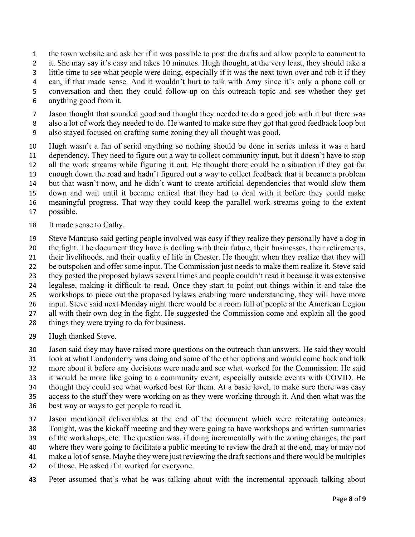the town website and ask her if it was possible to post the drafts and allow people to comment to

it. She may say it's easy and takes 10 minutes. Hugh thought, at the very least, they should take a

- little time to see what people were doing, especially if it was the next town over and rob it if they
- can, if that made sense. And it wouldn't hurt to talk with Amy since it's only a phone call or
- conversation and then they could follow-up on this outreach topic and see whether they get
- anything good from it.
- Jason thought that sounded good and thought they needed to do a good job with it but there was
- also a lot of work they needed to do. He wanted to make sure they got that good feedback loop but
- also stayed focused on crafting some zoning they all thought was good.
- Hugh wasn't a fan of serial anything so nothing should be done in series unless it was a hard dependency. They need to figure out a way to collect community input, but it doesn't have to stop all the work streams while figuring it out. He thought there could be a situation if they got far enough down the road and hadn't figured out a way to collect feedback that it became a problem but that wasn't now, and he didn't want to create artificial dependencies that would slow them down and wait until it became critical that they had to deal with it before they could make meaningful progress. That way they could keep the parallel work streams going to the extent possible.
- It made sense to Cathy.
- Steve Mancuso said getting people involved was easy if they realize they personally have a dog in
- the fight. The document they have is dealing with their future, their businesses, their retirements,
- their livelihoods, and their quality of life in Chester. He thought when they realize that they will
- be outspoken and offer some input. The Commission just needs to make them realize it. Steve said
- they posted the proposed bylaws several times and people couldn't read it because it was extensive
- legalese, making it difficult to read. Once they start to point out things within it and take the
- workshops to piece out the proposed bylaws enabling more understanding, they will have more input. Steve said next Monday night there would be a room full of people at the American Legion
- all with their own dog in the fight. He suggested the Commission come and explain all the good
- things they were trying to do for business.
- Hugh thanked Steve.
- Jason said they may have raised more questions on the outreach than answers. He said they would
- look at what Londonderry was doing and some of the other options and would come back and talk
- more about it before any decisions were made and see what worked for the Commission. He said
- it would be more like going to a community event, especially outside events with COVID. He
- thought they could see what worked best for them. At a basic level, to make sure there was easy
- access to the stuff they were working on as they were working through it. And then what was the
- best way or ways to get people to read it.
- Jason mentioned deliverables at the end of the document which were reiterating outcomes.
- Tonight, was the kickoff meeting and they were going to have workshops and written summaries
- of the workshops, etc. The question was, if doing incrementally with the zoning changes, the part
- where they were going to facilitate a public meeting to review the draft at the end, may or may not
- make a lot of sense. Maybe they were just reviewing the draft sections and there would be multiples
- of those. He asked if it worked for everyone.
- Peter assumed that's what he was talking about with the incremental approach talking about